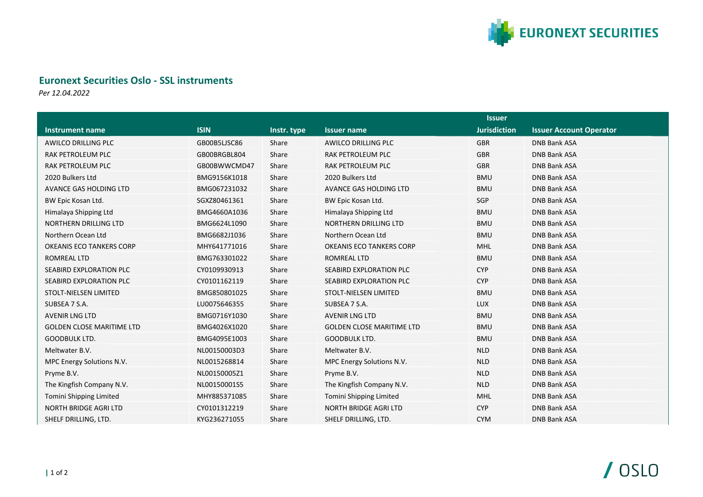

## **Euronext Securities Oslo - SSL instruments**

*Per 12.04.2022*

|                                  |              |             | <b>Issuer</b>                    |                     |                                |
|----------------------------------|--------------|-------------|----------------------------------|---------------------|--------------------------------|
| <b>Instrument name</b>           | <b>ISIN</b>  | Instr. type | <b>Issuer name</b>               | <b>Jurisdiction</b> | <b>Issuer Account Operator</b> |
| <b>AWILCO DRILLING PLC</b>       | GB00B5LJSC86 | Share       | <b>AWILCO DRILLING PLC</b>       | <b>GBR</b>          | <b>DNB Bank ASA</b>            |
| RAK PETROLEUM PLC                | GB00BRGBL804 | Share       | RAK PETROLEUM PLC                | <b>GBR</b>          | <b>DNB Bank ASA</b>            |
| RAK PETROLEUM PLC                | GB00BWWCMD47 | Share       | <b>RAK PETROLEUM PLC</b>         | <b>GBR</b>          | <b>DNB Bank ASA</b>            |
| 2020 Bulkers Ltd                 | BMG9156K1018 | Share       | 2020 Bulkers Ltd                 | <b>BMU</b>          | <b>DNB Bank ASA</b>            |
| AVANCE GAS HOLDING LTD           | BMG067231032 | Share       | AVANCE GAS HOLDING LTD           | <b>BMU</b>          | <b>DNB Bank ASA</b>            |
| BW Epic Kosan Ltd.               | SGXZ80461361 | Share       | BW Epic Kosan Ltd.               | SGP                 | <b>DNB Bank ASA</b>            |
| Himalaya Shipping Ltd            | BMG4660A1036 | Share       | Himalaya Shipping Ltd            | <b>BMU</b>          | <b>DNB Bank ASA</b>            |
| <b>NORTHERN DRILLING LTD</b>     | BMG6624L1090 | Share       | NORTHERN DRILLING LTD            | <b>BMU</b>          | <b>DNB Bank ASA</b>            |
| Northern Ocean Ltd               | BMG6682J1036 | Share       | Northern Ocean Ltd               | <b>BMU</b>          | <b>DNB Bank ASA</b>            |
| OKEANIS ECO TANKERS CORP         | MHY641771016 | Share       | <b>OKEANIS ECO TANKERS CORP</b>  | <b>MHL</b>          | <b>DNB Bank ASA</b>            |
| ROMREAL LTD                      | BMG763301022 | Share       | ROMREAL LTD                      | <b>BMU</b>          | <b>DNB Bank ASA</b>            |
| SEABIRD EXPLORATION PLC          | CY0109930913 | Share       | SEABIRD EXPLORATION PLC          | <b>CYP</b>          | <b>DNB Bank ASA</b>            |
| SEABIRD EXPLORATION PLC          | CY0101162119 | Share       | SEABIRD EXPLORATION PLC          | <b>CYP</b>          | <b>DNB Bank ASA</b>            |
| <b>STOLT-NIELSEN LIMITED</b>     | BMG850801025 | Share       | <b>STOLT-NIELSEN LIMITED</b>     | <b>BMU</b>          | <b>DNB Bank ASA</b>            |
| SUBSEA 7 S.A.                    | LU0075646355 | Share       | SUBSEA 7 S.A.                    | <b>LUX</b>          | <b>DNB Bank ASA</b>            |
| <b>AVENIR LNG LTD</b>            | BMG0716Y1030 | Share       | <b>AVENIR LNG LTD</b>            | <b>BMU</b>          | <b>DNB Bank ASA</b>            |
| <b>GOLDEN CLOSE MARITIME LTD</b> | BMG4026X1020 | Share       | <b>GOLDEN CLOSE MARITIME LTD</b> | <b>BMU</b>          | <b>DNB Bank ASA</b>            |
| <b>GOODBULK LTD.</b>             | BMG4095E1003 | Share       | <b>GOODBULK LTD.</b>             | <b>BMU</b>          | <b>DNB Bank ASA</b>            |
| Meltwater B.V.                   | NL00150003D3 | Share       | Meltwater B.V.                   | <b>NLD</b>          | <b>DNB Bank ASA</b>            |
| MPC Energy Solutions N.V.        | NL0015268814 | Share       | MPC Energy Solutions N.V.        | <b>NLD</b>          | <b>DNB Bank ASA</b>            |
| Pryme B.V.                       | NL00150005Z1 | Share       | Pryme B.V.                       | <b>NLD</b>          | <b>DNB Bank ASA</b>            |
| The Kingfish Company N.V.        | NL00150001S5 | Share       | The Kingfish Company N.V.        | <b>NLD</b>          | <b>DNB Bank ASA</b>            |
| Tomini Shipping Limited          | MHY885371085 | Share       | Tomini Shipping Limited          | <b>MHL</b>          | <b>DNB Bank ASA</b>            |
| <b>NORTH BRIDGE AGRI LTD</b>     | CY0101312219 | Share       | <b>NORTH BRIDGE AGRI LTD</b>     | <b>CYP</b>          | <b>DNB Bank ASA</b>            |
| SHELF DRILLING, LTD.             | KYG236271055 | Share       | SHELF DRILLING, LTD.             | <b>CYM</b>          | <b>DNB Bank ASA</b>            |